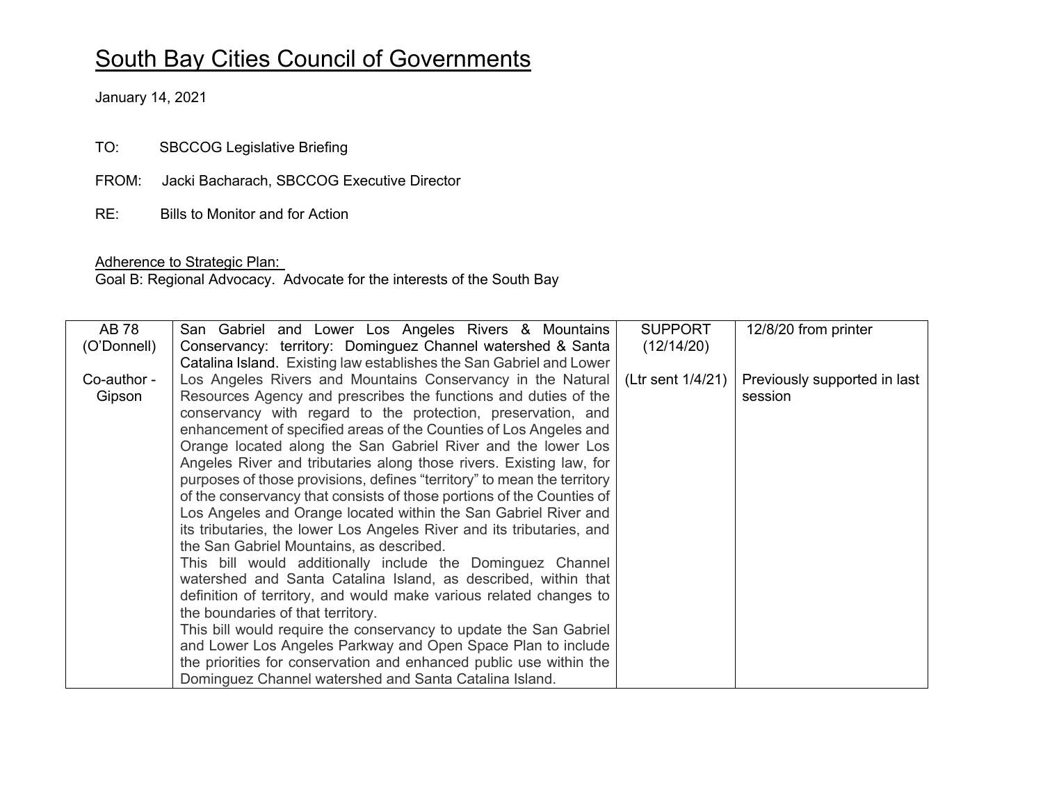## South Bay Cities Council of Governments

January 14, 2021

TO: SBCCOG Legislative Briefing

- FROM: Jacki Bacharach, SBCCOG Executive Director
- RE: Bills to Monitor and for Action

## Adherence to Strategic Plan:

Goal B: Regional Advocacy. Advocate for the interests of the South Bay

| AB 78       | San Gabriel and Lower Los Angeles Rivers & Mountains                    | <b>SUPPORT</b>    | 12/8/20 from printer         |
|-------------|-------------------------------------------------------------------------|-------------------|------------------------------|
| (O'Donnell) | Conservancy: territory: Dominguez Channel watershed & Santa             | (12/14/20)        |                              |
|             | Catalina Island. Existing law establishes the San Gabriel and Lower     |                   |                              |
| Co-author - | Los Angeles Rivers and Mountains Conservancy in the Natural             | (Ltr sent 1/4/21) | Previously supported in last |
| Gipson      | Resources Agency and prescribes the functions and duties of the         |                   | session                      |
|             | conservancy with regard to the protection, preservation, and            |                   |                              |
|             | enhancement of specified areas of the Counties of Los Angeles and       |                   |                              |
|             | Orange located along the San Gabriel River and the lower Los            |                   |                              |
|             | Angeles River and tributaries along those rivers. Existing law, for     |                   |                              |
|             | purposes of those provisions, defines "territory" to mean the territory |                   |                              |
|             | of the conservancy that consists of those portions of the Counties of   |                   |                              |
|             | Los Angeles and Orange located within the San Gabriel River and         |                   |                              |
|             | its tributaries, the lower Los Angeles River and its tributaries, and   |                   |                              |
|             | the San Gabriel Mountains, as described.                                |                   |                              |
|             | This bill would additionally include the Dominguez Channel              |                   |                              |
|             | watershed and Santa Catalina Island, as described, within that          |                   |                              |
|             | definition of territory, and would make various related changes to      |                   |                              |
|             | the boundaries of that territory.                                       |                   |                              |
|             | This bill would require the conservancy to update the San Gabriel       |                   |                              |
|             | and Lower Los Angeles Parkway and Open Space Plan to include            |                   |                              |
|             | the priorities for conservation and enhanced public use within the      |                   |                              |
|             | Dominguez Channel watershed and Santa Catalina Island.                  |                   |                              |